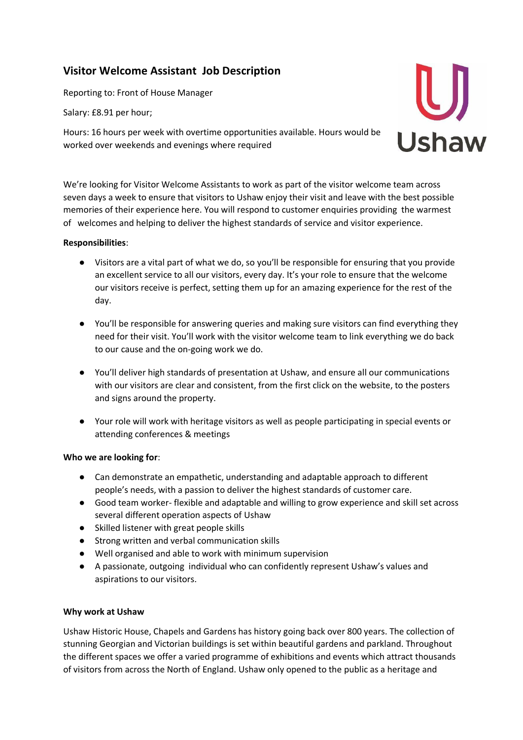## **Visitor Welcome Assistant Job Description**

Reporting to: Front of House Manager

Salary: £8.91 per hour;

Hours: 16 hours per week with overtime opportunities available. Hours would be worked over weekends and evenings where required



We're looking for Visitor Welcome Assistants to work as part of the visitor welcome team across seven days a week to ensure that visitors to Ushaw enjoy their visit and leave with the best possible memories of their experience here. You will respond to customer enquiries providing the warmest of welcomes and helping to deliver the highest standards of service and visitor experience.

## **Responsibilities**:

- Visitors are a vital part of what we do, so you'll be responsible for ensuring that you provide an excellent service to all our visitors, every day. It's your role to ensure that the welcome our visitors receive is perfect, setting them up for an amazing experience for the rest of the day.
- You'll be responsible for answering queries and making sure visitors can find everything they need for their visit. You'll work with the visitor welcome team to link everything we do back to our cause and the on-going work we do.
- You'll deliver high standards of presentation at Ushaw, and ensure all our communications with our visitors are clear and consistent, from the first click on the website, to the posters and signs around the property.
- Your role will work with heritage visitors as well as people participating in special events or attending conferences & meetings

## **Who we are looking for**:

- Can demonstrate an empathetic, understanding and adaptable approach to different people's needs, with a passion to deliver the highest standards of customer care.
- Good team worker- flexible and adaptable and willing to grow experience and skill set across several different operation aspects of Ushaw
- Skilled listener with great people skills
- Strong written and verbal communication skills
- Well organised and able to work with minimum supervision
- A passionate, outgoing individual who can confidently represent Ushaw's values and aspirations to our visitors.

## **Why work at Ushaw**

Ushaw Historic House, Chapels and Gardens has history going back over 800 years. The collection of stunning Georgian and Victorian buildings is set within beautiful gardens and parkland. Throughout the different spaces we offer a varied programme of exhibitions and events which attract thousands of visitors from across the North of England. Ushaw only opened to the public as a heritage and